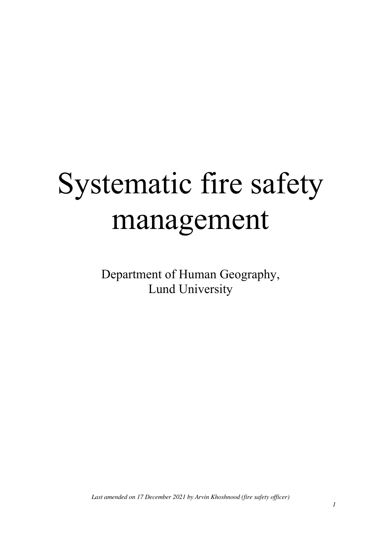# Systematic fire safety management

Department of Human Geography, Lund University

*Last amended on 17 December 2021 by Arvin Khoshnood (fire safety officer)*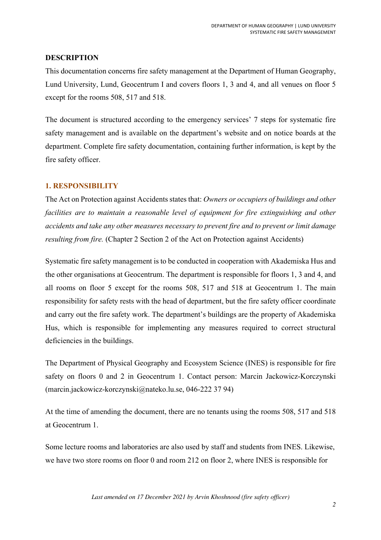# **DESCRIPTION**

This documentation concerns fire safety management at the Department of Human Geography, Lund University, Lund, Geocentrum I and covers floors 1, 3 and 4, and all venues on floor 5 except for the rooms 508, 517 and 518.

The document is structured according to the emergency services' 7 steps for systematic fire safety management and is available on the department's website and on notice boards at the department. Complete fire safety documentation, containing further information, is kept by the fire safety officer.

# **1. RESPONSIBILITY**

The Act on Protection against Accidents states that: *Owners or occupiers of buildings and other*  facilities are to maintain a reasonable level of equipment for fire extinguishing and other *accidents and take any other measures necessary to prevent fire and to prevent or limit damage resulting from fire.* (Chapter 2 Section 2 of the Act on Protection against Accidents)

Systematic fire safety management is to be conducted in cooperation with Akademiska Hus and the other organisations at Geocentrum. The department is responsible for floors 1, 3 and 4, and all rooms on floor 5 except for the rooms 508, 517 and 518 at Geocentrum 1. The main responsibility for safety rests with the head of department, but the fire safety officer coordinate and carry out the fire safety work. The department's buildings are the property of Akademiska Hus, which is responsible for implementing any measures required to correct structural deficiencies in the buildings.

The Department of Physical Geography and Ecosystem Science (INES) is responsible for fire safety on floors 0 and 2 in Geocentrum 1. Contact person: Marcin Jackowicz-Korczynski (marcin.jackowicz-korczynski@nateko.lu.se, 046-222 37 94)

At the time of amending the document, there are no tenants using the rooms 508, 517 and 518 at Geocentrum 1.

Some lecture rooms and laboratories are also used by staff and students from INES. Likewise, we have two store rooms on floor 0 and room 212 on floor 2, where INES is responsible for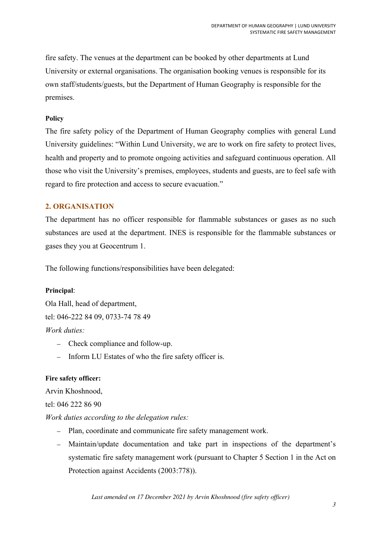fire safety. The venues at the department can be booked by other departments at Lund University or external organisations. The organisation booking venues is responsible for its own staff/students/guests, but the Department of Human Geography is responsible for the premises.

# **Policy**

The fire safety policy of the Department of Human Geography complies with general Lund University guidelines: "Within Lund University, we are to work on fire safety to protect lives, health and property and to promote ongoing activities and safeguard continuous operation. All those who visit the University's premises, employees, students and guests, are to feel safe with regard to fire protection and access to secure evacuation."

# **2. ORGANISATION**

The department has no officer responsible for flammable substances or gases as no such substances are used at the department. INES is responsible for the flammable substances or gases they you at Geocentrum 1.

The following functions/responsibilities have been delegated:

# **Principal**:

Ola Hall, head of department, tel: 046-222 84 09, 0733-74 78 49 *Work duties:* 

- Check compliance and follow-up.
- Inform LU Estates of who the fire safety officer is.

# **Fire safety officer:**

Arvin Khoshnood,

# tel: 046 222 86 90

*Work duties according to the delegation rules:* 

- Plan, coordinate and communicate fire safety management work.
- Maintain/update documentation and take part in inspections of the department's systematic fire safety management work (pursuant to Chapter 5 Section 1 in the Act on Protection against Accidents (2003:778)).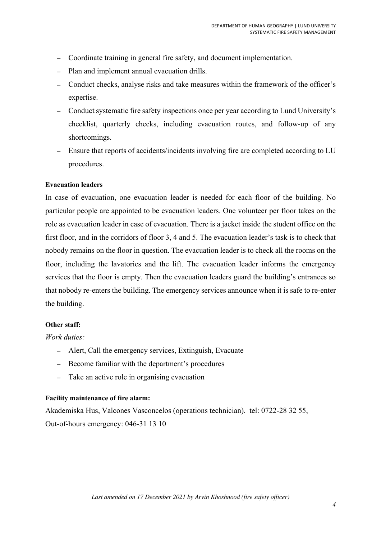- Coordinate training in general fire safety, and document implementation.
- Plan and implement annual evacuation drills.
- Conduct checks, analyse risks and take measures within the framework of the officer's expertise.
- Conduct systematic fire safety inspections once per year according to Lund University's checklist, quarterly checks, including evacuation routes, and follow-up of any shortcomings.
- Ensure that reports of accidents/incidents involving fire are completed according to LU procedures.

#### **Evacuation leaders**

In case of evacuation, one evacuation leader is needed for each floor of the building. No particular people are appointed to be evacuation leaders. One volunteer per floor takes on the role as evacuation leader in case of evacuation. There is a jacket inside the student office on the first floor, and in the corridors of floor 3, 4 and 5. The evacuation leader's task is to check that nobody remains on the floor in question. The evacuation leader is to check all the rooms on the floor, including the lavatories and the lift. The evacuation leader informs the emergency services that the floor is empty. Then the evacuation leaders guard the building's entrances so that nobody re-enters the building. The emergency services announce when it is safe to re-enter the building.

#### **Other staff:**

*Work duties:* 

- Alert, Call the emergency services, Extinguish, Evacuate
- Become familiar with the department's procedures
- Take an active role in organising evacuation

#### **Facility maintenance of fire alarm:**

Akademiska Hus, Valcones Vasconcelos (operations technician). tel: 0722-28 32 55, Out-of-hours emergency: 046-31 13 10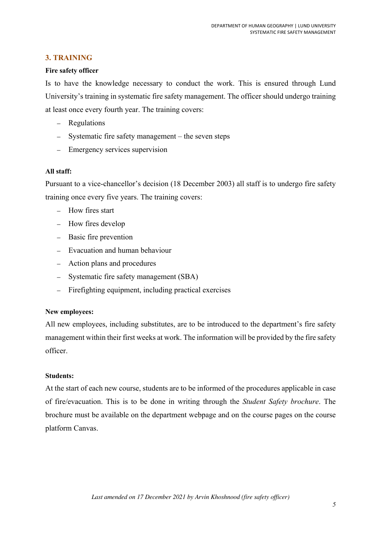# **3. TRAINING**

## **Fire safety officer**

Is to have the knowledge necessary to conduct the work. This is ensured through Lund University's training in systematic fire safety management. The officer should undergo training at least once every fourth year. The training covers:

- Regulations
- Systematic fire safety management the seven steps
- Emergency services supervision

## **All staff:**

Pursuant to a vice-chancellor's decision (18 December 2003) all staff is to undergo fire safety training once every five years. The training covers:

- How fires start
- How fires develop
- Basic fire prevention
- Evacuation and human behaviour
- Action plans and procedures
- Systematic fire safety management (SBA)
- Firefighting equipment, including practical exercises

#### **New employees:**

All new employees, including substitutes, are to be introduced to the department's fire safety management within their first weeks at work. The information will be provided by the fire safety officer.

## **Students:**

At the start of each new course, students are to be informed of the procedures applicable in case of fire/evacuation. This is to be done in writing through the *Student Safety brochure*. The brochure must be available on the department webpage and on the course pages on the course platform Canvas.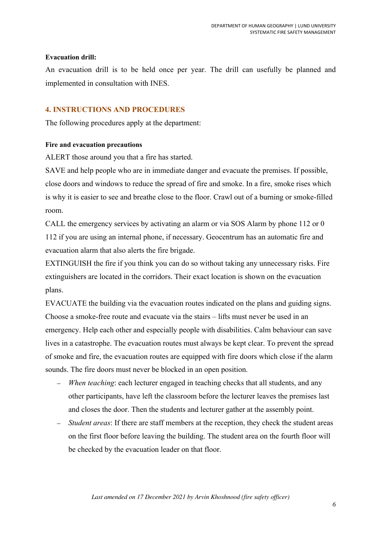## **Evacuation drill:**

An evacuation drill is to be held once per year. The drill can usefully be planned and implemented in consultation with INES.

# **4. INSTRUCTIONS AND PROCEDURES**

The following procedures apply at the department:

#### **Fire and evacuation precautions**

ALERT those around you that a fire has started.

SAVE and help people who are in immediate danger and evacuate the premises. If possible, close doors and windows to reduce the spread of fire and smoke. In a fire, smoke rises which is why it is easier to see and breathe close to the floor. Crawl out of a burning or smoke-filled room.

CALL the emergency services by activating an alarm or via SOS Alarm by phone 112 or 0 112 if you are using an internal phone, if necessary. Geocentrum has an automatic fire and evacuation alarm that also alerts the fire brigade.

EXTINGUISH the fire if you think you can do so without taking any unnecessary risks. Fire extinguishers are located in the corridors. Their exact location is shown on the evacuation plans.

EVACUATE the building via the evacuation routes indicated on the plans and guiding signs. Choose a smoke-free route and evacuate via the stairs – lifts must never be used in an emergency. Help each other and especially people with disabilities. Calm behaviour can save lives in a catastrophe. The evacuation routes must always be kept clear. To prevent the spread of smoke and fire, the evacuation routes are equipped with fire doors which close if the alarm sounds. The fire doors must never be blocked in an open position.

- *When teaching*: each lecturer engaged in teaching checks that all students, and any other participants, have left the classroom before the lecturer leaves the premises last and closes the door. Then the students and lecturer gather at the assembly point.
- *Student areas*: If there are staff members at the reception, they check the student areas on the first floor before leaving the building. The student area on the fourth floor will be checked by the evacuation leader on that floor.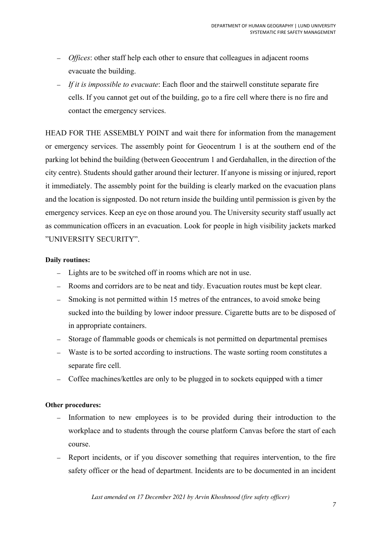- *Offices*: other staff help each other to ensure that colleagues in adjacent rooms evacuate the building.
- *If it is impossible to evacuate*: Each floor and the stairwell constitute separate fire cells. If you cannot get out of the building, go to a fire cell where there is no fire and contact the emergency services.

HEAD FOR THE ASSEMBLY POINT and wait there for information from the management or emergency services. The assembly point for Geocentrum 1 is at the southern end of the parking lot behind the building (between Geocentrum 1 and Gerdahallen, in the direction of the city centre). Students should gather around their lecturer. If anyone is missing or injured, report it immediately. The assembly point for the building is clearly marked on the evacuation plans and the location is signposted. Do not return inside the building until permission is given by the emergency services. Keep an eye on those around you. The University security staff usually act as communication officers in an evacuation. Look for people in high visibility jackets marked "UNIVERSITY SECURITY".

## **Daily routines:**

- Lights are to be switched off in rooms which are not in use.
- Rooms and corridors are to be neat and tidy. Evacuation routes must be kept clear.
- Smoking is not permitted within 15 metres of the entrances, to avoid smoke being sucked into the building by lower indoor pressure. Cigarette butts are to be disposed of in appropriate containers.
- Storage of flammable goods or chemicals is not permitted on departmental premises
- Waste is to be sorted according to instructions. The waste sorting room constitutes a separate fire cell.
- Coffee machines/kettles are only to be plugged in to sockets equipped with a timer

#### **Other procedures:**

- Information to new employees is to be provided during their introduction to the workplace and to students through the course platform Canvas before the start of each course.
- Report incidents, or if you discover something that requires intervention, to the fire safety officer or the head of department. Incidents are to be documented in an incident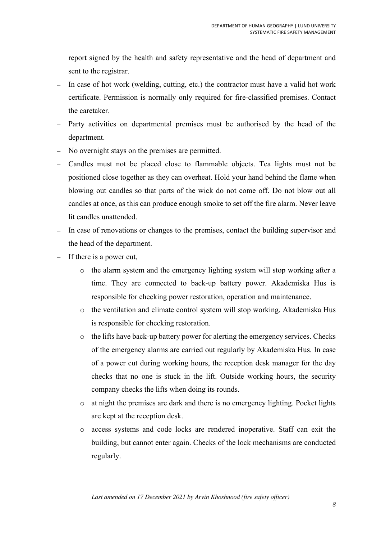report signed by the health and safety representative and the head of department and sent to the registrar.

- In case of hot work (welding, cutting, etc.) the contractor must have a valid hot work certificate. Permission is normally only required for fire-classified premises. Contact the caretaker.
- Party activities on departmental premises must be authorised by the head of the department.
- No overnight stays on the premises are permitted.
- Candles must not be placed close to flammable objects. Tea lights must not be positioned close together as they can overheat. Hold your hand behind the flame when blowing out candles so that parts of the wick do not come off. Do not blow out all candles at once, as this can produce enough smoke to set off the fire alarm. Never leave lit candles unattended.
- In case of renovations or changes to the premises, contact the building supervisor and the head of the department.
- If there is a power cut,
	- o the alarm system and the emergency lighting system will stop working after a time. They are connected to back-up battery power. Akademiska Hus is responsible for checking power restoration, operation and maintenance.
	- o the ventilation and climate control system will stop working. Akademiska Hus is responsible for checking restoration.
	- o the lifts have back-up battery power for alerting the emergency services. Checks of the emergency alarms are carried out regularly by Akademiska Hus. In case of a power cut during working hours, the reception desk manager for the day checks that no one is stuck in the lift. Outside working hours, the security company checks the lifts when doing its rounds.
	- o at night the premises are dark and there is no emergency lighting. Pocket lights are kept at the reception desk.
	- o access systems and code locks are rendered inoperative. Staff can exit the building, but cannot enter again. Checks of the lock mechanisms are conducted regularly.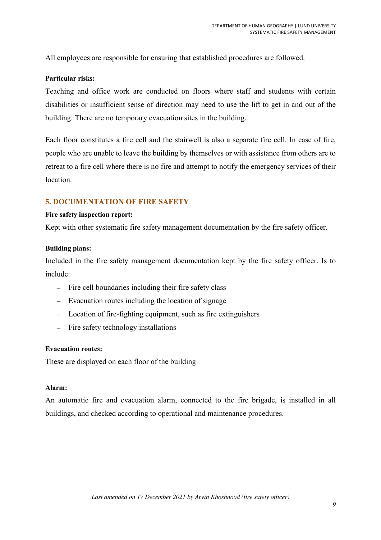All employees are responsible for ensuring that established procedures are followed.

## **Particular risks:**

Teaching and office work are conducted on floors where staff and students with certain disabilities or insufficient sense of direction may need to use the lift to get in and out of the building. There are no temporary evacuation sites in the building.

Each floor constitutes a fire cell and the stairwell is also a separate fire cell. In case of fire, people who are unable to leave the building by themselves or with assistance from others are to retreat to a fire cell where there is no fire and attempt to notify the emergency services of their location.

# **5. DOCUMENTATION OF FIRE SAFETY**

#### **Fire safety inspection report:**

Kept with other systematic fire safety management documentation by the fire safety officer.

#### **Building plans:**

Included in the fire safety management documentation kept by the fire safety officer. Is to include:

- Fire cell boundaries including their fire safety class
- Evacuation routes including the location of signage
- Location of fire-fighting equipment, such as fire extinguishers
- Fire safety technology installations

## **Evacuation routes:**

These are displayed on each floor of the building

#### **Alarm:**

An automatic fire and evacuation alarm, connected to the fire brigade, is installed in all buildings, and checked according to operational and maintenance procedures.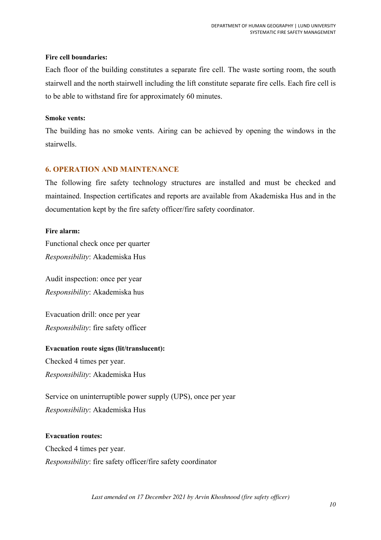## **Fire cell boundaries:**

Each floor of the building constitutes a separate fire cell. The waste sorting room, the south stairwell and the north stairwell including the lift constitute separate fire cells. Each fire cell is to be able to withstand fire for approximately 60 minutes.

## **Smoke vents:**

The building has no smoke vents. Airing can be achieved by opening the windows in the stairwells.

# **6. OPERATION AND MAINTENANCE**

The following fire safety technology structures are installed and must be checked and maintained. Inspection certificates and reports are available from Akademiska Hus and in the documentation kept by the fire safety officer/fire safety coordinator.

# **Fire alarm:**

Functional check once per quarter *Responsibility*: Akademiska Hus

Audit inspection: once per year *Responsibility*: Akademiska hus

Evacuation drill: once per year *Responsibility*: fire safety officer

**Evacuation route signs (lit/translucent):**  Checked 4 times per year.

*Responsibility*: Akademiska Hus

Service on uninterruptible power supply (UPS), once per year *Responsibility*: Akademiska Hus

# **Evacuation routes:**

Checked 4 times per year. *Responsibility*: fire safety officer/fire safety coordinator

*Last amended on 17 December 2021 by Arvin Khoshnood (fire safety officer)*